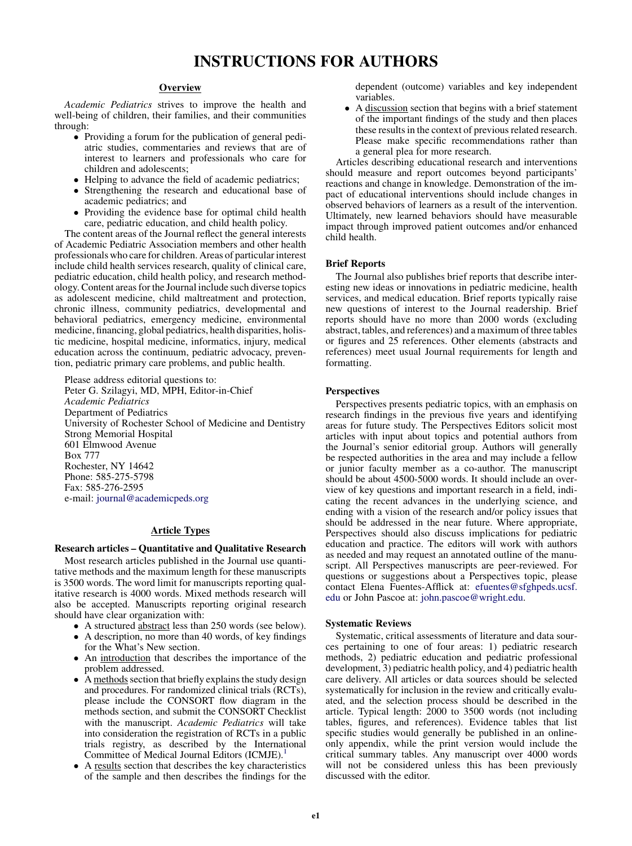# INSTRUCTIONS FOR AUTHORS

## **Overview**

Academic Pediatrics strives to improve the health and well-being of children, their families, and their communities through:

- Providing a forum for the publication of general pediatric studies, commentaries and reviews that are of interest to learners and professionals who care for children and adolescents;
- Helping to advance the field of academic pediatrics;
- Strengthening the research and educational base of academic pediatrics; and
- Providing the evidence base for optimal child health care, pediatric education, and child health policy.

The content areas of the Journal reflect the general interests of Academic Pediatric Association members and other health professionals who care for children. Areas of particular interest include child health services research, quality of clinical care, pediatric education, child health policy, and research methodology. Content areas for the Journal include such diverse topics as adolescent medicine, child maltreatment and protection, chronic illness, community pediatrics, developmental and behavioral pediatrics, emergency medicine, environmental medicine, financing, global pediatrics, health disparities, holistic medicine, hospital medicine, informatics, injury, medical education across the continuum, pediatric advocacy, prevention, pediatric primary care problems, and public health.

Please address editorial questions to: Peter G. Szilagyi, MD, MPH, Editor-in-Chief Academic Pediatrics Department of Pediatrics University of Rochester School of Medicine and Dentistry Strong Memorial Hospital 601 Elmwood Avenue Box 777 Rochester, NY 14642 Phone: 585-275-5798 Fax: 585-276-2595 e-mail: [journal@academicpeds.org](mailto:journal@academicpeds.org)

## Article Types

## Research articles – Quantitative and Qualitative Research

Most research articles published in the Journal use quantitative methods and the maximum length for these manuscripts is 3500 words. The word limit for manuscripts reporting qualitative research is 4000 words. Mixed methods research will also be accepted. Manuscripts reporting original research should have clear organization with:

- A structured abstract less than 250 words (see below).
- A description, no more than 40 words, of key findings for the What's New section.
- An introduction that describes the importance of the problem addressed.
- A methods section that briefly explains the study design and procedures. For randomized clinical trials (RCTs), please include the CONSORT flow diagram in the methods section, and submit the CONSORT Checklist with the manuscript. Academic Pediatrics will take into consideration the registration of RCTs in a public trials registry, as described by the International Committee of Medical Journal Editors (ICMJE).<sup>1</sup>
- A results section that describes the key characteristics of the sample and then describes the findings for the

dependent (outcome) variables and key independent variables.

• A discussion section that begins with a brief statement of the important findings of the study and then places these results in the context of previous related research. Please make specific recommendations rather than a general plea for more research.

Articles describing educational research and interventions should measure and report outcomes beyond participants' reactions and change in knowledge. Demonstration of the impact of educational interventions should include changes in observed behaviors of learners as a result of the intervention. Ultimately, new learned behaviors should have measurable impact through improved patient outcomes and/or enhanced child health.

## Brief Reports

The Journal also publishes brief reports that describe interesting new ideas or innovations in pediatric medicine, health services, and medical education. Brief reports typically raise new questions of interest to the Journal readership. Brief reports should have no more than 2000 words (excluding abstract, tables, and references) and a maximum of three tables or figures and 25 references. Other elements (abstracts and references) meet usual Journal requirements for length and formatting.

## **Perspectives**

Perspectives presents pediatric topics, with an emphasis on research findings in the previous five years and identifying areas for future study. The Perspectives Editors solicit most articles with input about topics and potential authors from the Journal's senior editorial group. Authors will generally be respected authorities in the area and may include a fellow or junior faculty member as a co-author. The manuscript should be about 4500-5000 words. It should include an overview of key questions and important research in a field, indicating the recent advances in the underlying science, and ending with a vision of the research and/or policy issues that should be addressed in the near future. Where appropriate, Perspectives should also discuss implications for pediatric education and practice. The editors will work with authors as needed and may request an annotated outline of the manuscript. All Perspectives manuscripts are peer-reviewed. For questions or suggestions about a Perspectives topic, please contact Elena Fuentes-Afflick at: [efuentes@sfghpeds.ucsf.](mailto:efuentes@sfghpeds.ucsf.edu) [edu](mailto:efuentes@sfghpeds.ucsf.edu) or John Pascoe at: [john.pascoe@wright.edu](mailto:john.pascoe@wright.edu).

## Systematic Reviews

Systematic, critical assessments of literature and data sources pertaining to one of four areas: 1) pediatric research methods, 2) pediatric education and pediatric professional development, 3) pediatric health policy, and 4) pediatric health care delivery. All articles or data sources should be selected systematically for inclusion in the review and critically evaluated, and the selection process should be described in the article. Typical length: 2000 to 3500 words (not including tables, figures, and references). Evidence tables that list specific studies would generally be published in an onlineonly appendix, while the print version would include the critical summary tables. Any manuscript over 4000 words will not be considered unless this has been previously discussed with the editor.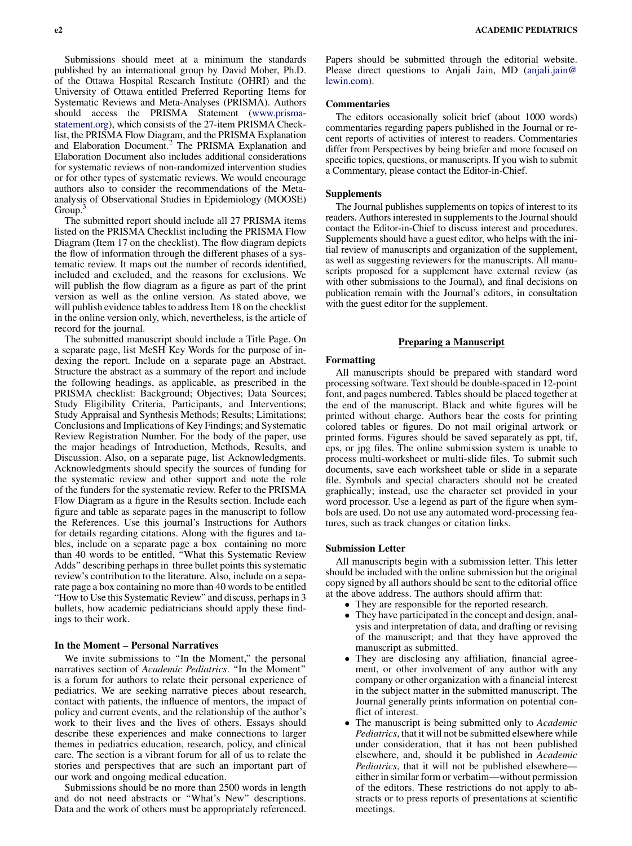Submissions should meet at a minimum the standards published by an international group by David Moher, Ph.D. of the Ottawa Hospital Research Institute (OHRI) and the University of Ottawa entitled Preferred Reporting Items for Systematic Reviews and Meta-Analyses (PRISMA). Authors should access the PRISMA Statement [\(www.prisma](http://www.prisma-statement.org)[statement.org\)](http://www.prisma-statement.org), which consists of the 27-item PRISMA Checklist, the PRISMA Flow Diagram, and the PRISMA Explanation and Elaboration Document.<sup>2</sup> The PRISMA Explanation and Elaboration Document also includes additional considerations for systematic reviews of non-randomized intervention studies or for other types of systematic reviews. We would encourage authors also to consider the recommendations of the Metaanalysis of Observational Studies in Epidemiology (MOOSE) Group.<sup>3</sup>

The submitted report should include all 27 PRISMA items listed on the PRISMA Checklist including the PRISMA Flow Diagram (Item 17 on the checklist). The flow diagram depicts the flow of information through the different phases of a systematic review. It maps out the number of records identified, included and excluded, and the reasons for exclusions. We will publish the flow diagram as a figure as part of the print version as well as the online version. As stated above, we will publish evidence tables to address Item 18 on the checklist in the online version only, which, nevertheless, is the article of record for the journal.

The submitted manuscript should include a Title Page. On a separate page, list MeSH Key Words for the purpose of indexing the report. Include on a separate page an Abstract. Structure the abstract as a summary of the report and include the following headings, as applicable, as prescribed in the PRISMA checklist: Background; Objectives; Data Sources; Study Eligibility Criteria, Participants, and Interventions; Study Appraisal and Synthesis Methods; Results; Limitations; Conclusions and Implications of Key Findings; and Systematic Review Registration Number. For the body of the paper, use the major headings of Introduction, Methods, Results, and Discussion. Also, on a separate page, list Acknowledgments. Acknowledgments should specify the sources of funding for the systematic review and other support and note the role of the funders for the systematic review. Refer to the PRISMA Flow Diagram as a figure in the Results section. Include each figure and table as separate pages in the manuscript to follow the References. Use this journal's Instructions for Authors for details regarding citations. Along with the figures and tables, include on a separate page a box containing no more than 40 words to be entitled, ''What this Systematic Review Adds'' describing perhaps in three bullet points this systematic review's contribution to the literature. Also, include on a separate page a box containing no more than 40 words to be entitled "How to Use this Systematic Review" and discuss, perhaps in 3 bullets, how academic pediatricians should apply these findings to their work.

## In the Moment – Personal Narratives

We invite submissions to "In the Moment," the personal narratives section of Academic Pediatrics. "In the Moment" is a forum for authors to relate their personal experience of pediatrics. We are seeking narrative pieces about research, contact with patients, the influence of mentors, the impact of policy and current events, and the relationship of the author's work to their lives and the lives of others. Essays should describe these experiences and make connections to larger themes in pediatrics education, research, policy, and clinical care. The section is a vibrant forum for all of us to relate the stories and perspectives that are such an important part of our work and ongoing medical education.

Submissions should be no more than 2500 words in length and do not need abstracts or ''What's New'' descriptions. Data and the work of others must be appropriately referenced.

Papers should be submitted through the editorial website. Please direct questions to Anjali Jain, MD [\(anjali.jain@](mailto:anjali.jain@lewin.com) [lewin.com](mailto:anjali.jain@lewin.com)).

## Commentaries

The editors occasionally solicit brief (about 1000 words) commentaries regarding papers published in the Journal or recent reports of activities of interest to readers. Commentaries differ from Perspectives by being briefer and more focused on specific topics, questions, or manuscripts. If you wish to submit a Commentary, please contact the Editor-in-Chief.

## Supplements

The Journal publishes supplements on topics of interest to its readers. Authors interested in supplements to the Journal should contact the Editor-in-Chief to discuss interest and procedures. Supplements should have a guest editor, who helps with the initial review of manuscripts and organization of the supplement, as well as suggesting reviewers for the manuscripts. All manuscripts proposed for a supplement have external review (as with other submissions to the Journal), and final decisions on publication remain with the Journal's editors, in consultation with the guest editor for the supplement.

## Preparing a Manuscript

#### Formatting

All manuscripts should be prepared with standard word processing software. Text should be double-spaced in 12-point font, and pages numbered. Tables should be placed together at the end of the manuscript. Black and white figures will be printed without charge. Authors bear the costs for printing colored tables or figures. Do not mail original artwork or printed forms. Figures should be saved separately as ppt, tif, eps, or jpg files. The online submission system is unable to process multi-worksheet or multi-slide files. To submit such documents, save each worksheet table or slide in a separate file. Symbols and special characters should not be created graphically; instead, use the character set provided in your word processor. Use a legend as part of the figure when symbols are used. Do not use any automated word-processing features, such as track changes or citation links.

## Submission Letter

All manuscripts begin with a submission letter. This letter should be included with the online submission but the original copy signed by all authors should be sent to the editorial office at the above address. The authors should affirm that:

- They are responsible for the reported research.
- They have participated in the concept and design, analysis and interpretation of data, and drafting or revising of the manuscript; and that they have approved the manuscript as submitted.
- They are disclosing any affiliation, financial agreement, or other involvement of any author with any company or other organization with a financial interest in the subject matter in the submitted manuscript. The Journal generally prints information on potential conflict of interest.
- The manuscript is being submitted only to *Academic* Pediatrics, that it will not be submitted elsewhere while under consideration, that it has not been published elsewhere, and, should it be published in Academic Pediatrics, that it will not be published elsewhereeither in similar form or verbatim—without permission of the editors. These restrictions do not apply to abstracts or to press reports of presentations at scientific meetings.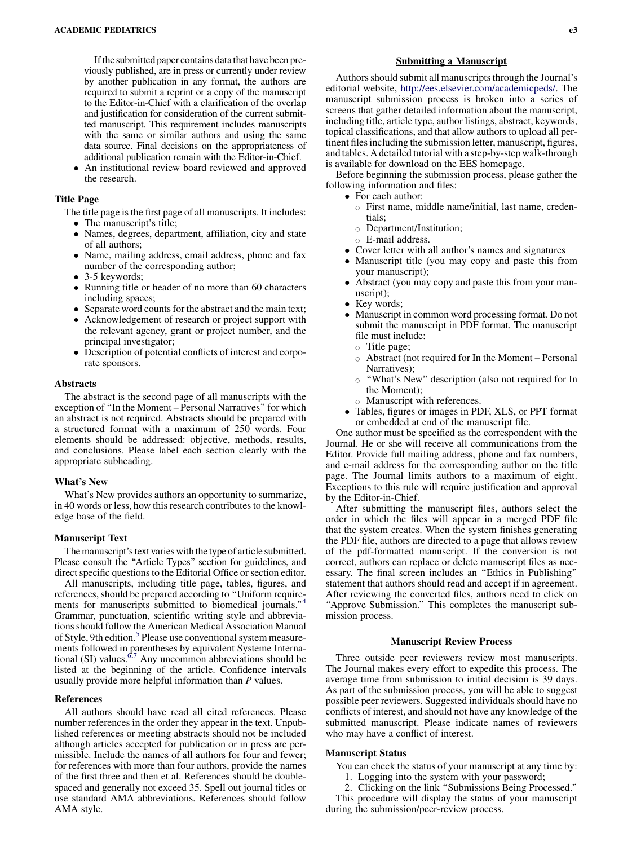If the submitted paper contains data that have been previously published, are in press or currently under review by another publication in any format, the authors are required to submit a reprint or a copy of the manuscript to the Editor-in-Chief with a clarification of the overlap and justification for consideration of the current submitted manuscript. This requirement includes manuscripts with the same or similar authors and using the same data source. Final decisions on the appropriateness of additional publication remain with the Editor-in-Chief.

 An institutional review board reviewed and approved the research.

## Title Page

The title page is the first page of all manuscripts. It includes: • The manuscript's title;

- Names, degrees, department, affiliation, city and state of all authors;
- Name, mailing address, email address, phone and fax number of the corresponding author;
- 3-5 keywords;
- Running title or header of no more than 60 characters including spaces;
- Separate word counts for the abstract and the main text;
- Acknowledgement of research or project support with the relevant agency, grant or project number, and the principal investigator;
- Description of potential conflicts of interest and corporate sponsors.

## **Abstracts**

The abstract is the second page of all manuscripts with the exception of ''In the Moment – Personal Narratives'' for which an abstract is not required. Abstracts should be prepared with a structured format with a maximum of 250 words. Four elements should be addressed: objective, methods, results, and conclusions. Please label each section clearly with the appropriate subheading.

## What's New

What's New provides authors an opportunity to summarize, in 40 words or less, how this research contributes to the knowledge base of the field.

## Manuscript Text

The manuscript's text varies with the type of article submitted. Please consult the ''Article Types'' section for guidelines, and direct specific questions to the Editorial Office or section editor.

All manuscripts, including title page, tables, figures, and references, should be prepared according to ''Uniform requirements for manuscripts submitted to biomedical journals."<sup>4</sup> Grammar, punctuation, scientific writing style and abbreviations should follow the American Medical Association Manual of Style, 9th edition.<sup>[5](#page-4-0)</sup> Please use conventional system measurements followed in parentheses by equivalent Systeme International (SI) values.<sup>6,7</sup> Any uncommon abbreviations should be listed at the beginning of the article. Confidence intervals usually provide more helpful information than P values.

## References

All authors should have read all cited references. Please number references in the order they appear in the text. Unpublished references or meeting abstracts should not be included although articles accepted for publication or in press are permissible. Include the names of all authors for four and fewer; for references with more than four authors, provide the names of the first three and then et al. References should be doublespaced and generally not exceed 35. Spell out journal titles or use standard AMA abbreviations. References should follow AMA style.

## Submitting a Manuscript

Authors should submit all manuscripts through the Journal's editorial website, <http://ees.elsevier.com/academicpeds/>. The manuscript submission process is broken into a series of screens that gather detailed information about the manuscript, including title, article type, author listings, abstract, keywords, topical classifications, and that allow authors to upload all pertinent files including the submission letter, manuscript, figures, and tables. A detailed tutorial with a step-by-step walk-through is available for download on the EES homepage.

Before beginning the submission process, please gather the following information and files:

- For each author:
	- $\circ$  First name, middle name/initial, last name, credentials;
	- $\circ$  Department/Institution;
	- o E-mail address.
- Cover letter with all author's names and signatures
- Manuscript title (you may copy and paste this from your manuscript);
- Abstract (you may copy and paste this from your manuscript);
- Key words;
- Manuscript in common word processing format. Do not submit the manuscript in PDF format. The manuscript file must include:
	- $\circ$  Title page;
	- $\circ$  Abstract (not required for In the Moment Personal Narratives);
	- $\circ$  "What's New" description (also not required for In the Moment);
	- $\circ$  Manuscript with references.
- Tables, figures or images in PDF, XLS, or PPT format or embedded at end of the manuscript file.

One author must be specified as the correspondent with the Journal. He or she will receive all communications from the Editor. Provide full mailing address, phone and fax numbers, and e-mail address for the corresponding author on the title page. The Journal limits authors to a maximum of eight. Exceptions to this rule will require justification and approval by the Editor-in-Chief.

After submitting the manuscript files, authors select the order in which the files will appear in a merged PDF file that the system creates. When the system finishes generating the PDF file, authors are directed to a page that allows review of the pdf-formatted manuscript. If the conversion is not correct, authors can replace or delete manuscript files as necessary. The final screen includes an ''Ethics in Publishing'' statement that authors should read and accept if in agreement. After reviewing the converted files, authors need to click on "Approve Submission." This completes the manuscript submission process.

## **Manuscript Review Process**

Three outside peer reviewers review most manuscripts. The Journal makes every effort to expedite this process. The average time from submission to initial decision is 39 days. As part of the submission process, you will be able to suggest possible peer reviewers. Suggested individuals should have no conflicts of interest, and should not have any knowledge of the submitted manuscript. Please indicate names of reviewers who may have a conflict of interest.

#### Manuscript Status

You can check the status of your manuscript at any time by:

- 1. Logging into the system with your password;
- 2. Clicking on the link ''Submissions Being Processed.''

This procedure will display the status of your manuscript during the submission/peer-review process.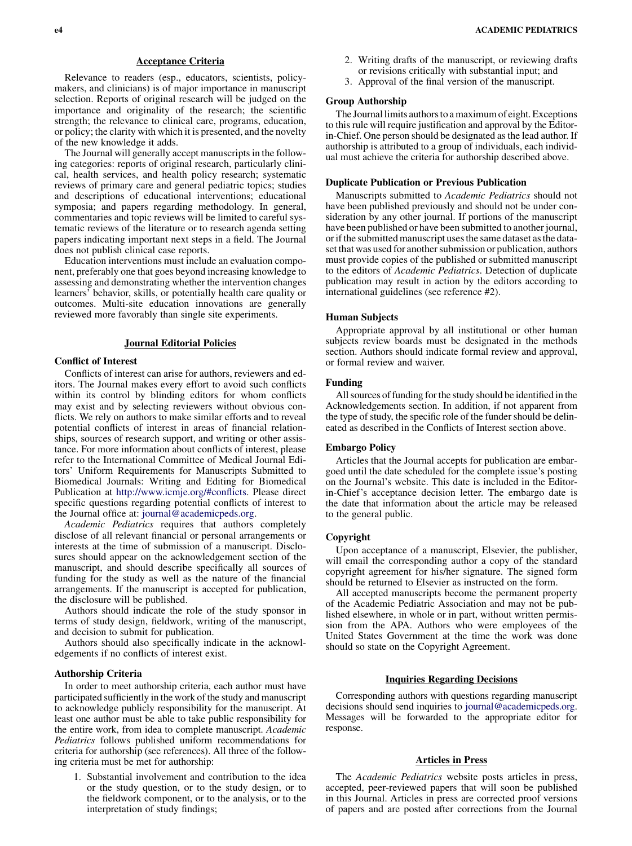Relevance to readers (esp., educators, scientists, policymakers, and clinicians) is of major importance in manuscript selection. Reports of original research will be judged on the importance and originality of the research; the scientific strength; the relevance to clinical care, programs, education, or policy; the clarity with which it is presented, and the novelty of the new knowledge it adds.

The Journal will generally accept manuscripts in the following categories: reports of original research, particularly clinical, health services, and health policy research; systematic reviews of primary care and general pediatric topics; studies and descriptions of educational interventions; educational symposia; and papers regarding methodology. In general, commentaries and topic reviews will be limited to careful systematic reviews of the literature or to research agenda setting papers indicating important next steps in a field. The Journal does not publish clinical case reports.

Education interventions must include an evaluation component, preferably one that goes beyond increasing knowledge to assessing and demonstrating whether the intervention changes learners' behavior, skills, or potentially health care quality or outcomes. Multi-site education innovations are generally reviewed more favorably than single site experiments.

## **Journal Editorial Policies**

## Conflict of Interest

Conflicts of interest can arise for authors, reviewers and editors. The Journal makes every effort to avoid such conflicts within its control by blinding editors for whom conflicts may exist and by selecting reviewers without obvious conflicts. We rely on authors to make similar efforts and to reveal potential conflicts of interest in areas of financial relationships, sources of research support, and writing or other assistance. For more information about conflicts of interest, please refer to the International Committee of Medical Journal Editors' Uniform Requirements for Manuscripts Submitted to Biomedical Journals: Writing and Editing for Biomedical Publication at [http://www.icmje.org/#conflicts](http://www.icmje.org/%23conflicts). Please direct specific questions regarding potential conflicts of interest to the Journal office at: [journal@academicpeds.org](mailto:journal@academicpeds.org).

Academic Pediatrics requires that authors completely disclose of all relevant financial or personal arrangements or interests at the time of submission of a manuscript. Disclosures should appear on the acknowledgement section of the manuscript, and should describe specifically all sources of funding for the study as well as the nature of the financial arrangements. If the manuscript is accepted for publication, the disclosure will be published.

Authors should indicate the role of the study sponsor in terms of study design, fieldwork, writing of the manuscript, and decision to submit for publication.

Authors should also specifically indicate in the acknowledgements if no conflicts of interest exist.

## Authorship Criteria

In order to meet authorship criteria, each author must have participated sufficiently in the work of the study and manuscript to acknowledge publicly responsibility for the manuscript. At least one author must be able to take public responsibility for the entire work, from idea to complete manuscript. Academic Pediatrics follows published uniform recommendations for criteria for authorship (see references). All three of the following criteria must be met for authorship:

1. Substantial involvement and contribution to the idea or the study question, or to the study design, or to the fieldwork component, or to the analysis, or to the interpretation of study findings;

- 2. Writing drafts of the manuscript, or reviewing drafts
- or revisions critically with substantial input; and
- 3. Approval of the final version of the manuscript.

## Group Authorship

The Journal limits authors to a maximum of eight. Exceptions to this rule will require justification and approval by the Editorin-Chief. One person should be designated as the lead author. If authorship is attributed to a group of individuals, each individual must achieve the criteria for authorship described above.

## Duplicate Publication or Previous Publication

Manuscripts submitted to Academic Pediatrics should not have been published previously and should not be under consideration by any other journal. If portions of the manuscript have been published or have been submitted to another journal, or if the submitted manuscript uses the same dataset as the dataset that was used for another submission or publication, authors must provide copies of the published or submitted manuscript to the editors of Academic Pediatrics. Detection of duplicate publication may result in action by the editors according to international guidelines (see reference #2).

#### Human Subjects

Appropriate approval by all institutional or other human subjects review boards must be designated in the methods section. Authors should indicate formal review and approval, or formal review and waiver.

#### Funding

All sources of funding for the study should be identified in the Acknowledgements section. In addition, if not apparent from the type of study, the specific role of the funder should be delineated as described in the Conflicts of Interest section above.

#### Embargo Policy

Articles that the Journal accepts for publication are embargoed until the date scheduled for the complete issue's posting on the Journal's website. This date is included in the Editorin-Chief's acceptance decision letter. The embargo date is the date that information about the article may be released to the general public.

#### Copyright

Upon acceptance of a manuscript, Elsevier, the publisher, will email the corresponding author a copy of the standard copyright agreement for his/her signature. The signed form should be returned to Elsevier as instructed on the form.

All accepted manuscripts become the permanent property of the Academic Pediatric Association and may not be published elsewhere, in whole or in part, without written permission from the APA. Authors who were employees of the United States Government at the time the work was done should so state on the Copyright Agreement.

## Inquiries Regarding Decisions

Corresponding authors with questions regarding manuscript decisions should send inquiries to [journal@academicpeds.org](mailto:journal@academicpeds.org). Messages will be forwarded to the appropriate editor for response.

## Articles in Press

The Academic Pediatrics website posts articles in press, accepted, peer-reviewed papers that will soon be published in this Journal. Articles in press are corrected proof versions of papers and are posted after corrections from the Journal